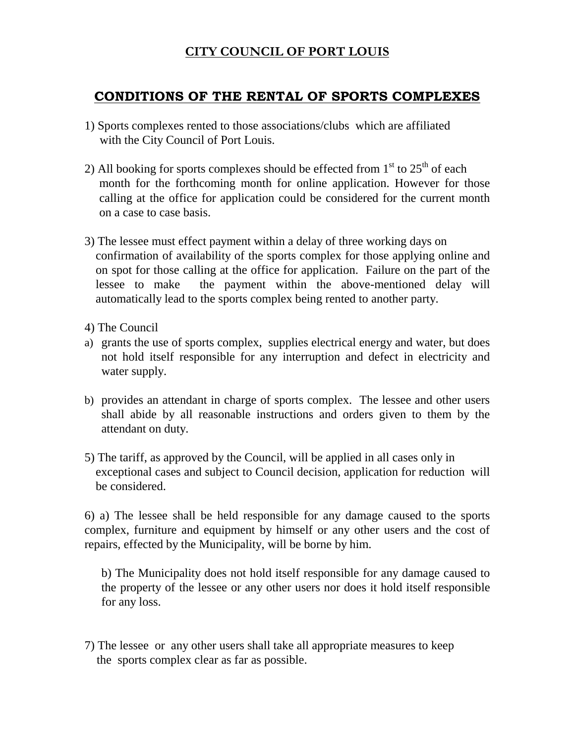## **CITY COUNCIL OF PORT LOUIS**

## **CONDITIONS OF THE RENTAL OF SPORTS COMPLEXES**

- 1) Sports complexes rented to those associations/clubs which are affiliated with the City Council of Port Louis.
- 2) All booking for sports complexes should be effected from  $1<sup>st</sup>$  to  $25<sup>th</sup>$  of each month for the forthcoming month for online application. However for those calling at the office for application could be considered for the current month on a case to case basis.
- 3) The lessee must effect payment within a delay of three working days on confirmation of availability of the sports complex for those applying online and on spot for those calling at the office for application. Failure on the part of the lessee to make the payment within the above-mentioned delay will automatically lead to the sports complex being rented to another party.
- 4) The Council
- a) grants the use of sports complex, supplies electrical energy and water, but does not hold itself responsible for any interruption and defect in electricity and water supply.
- b) provides an attendant in charge of sports complex. The lessee and other users shall abide by all reasonable instructions and orders given to them by the attendant on duty.
- 5) The tariff, as approved by the Council, will be applied in all cases only in exceptional cases and subject to Council decision, application for reduction will be considered.

6) a) The lessee shall be held responsible for any damage caused to the sports complex, furniture and equipment by himself or any other users and the cost of repairs, effected by the Municipality, will be borne by him.

b) The Municipality does not hold itself responsible for any damage caused to the property of the lessee or any other users nor does it hold itself responsible for any loss.

7) The lessee or any other users shall take all appropriate measures to keep the sports complex clear as far as possible.